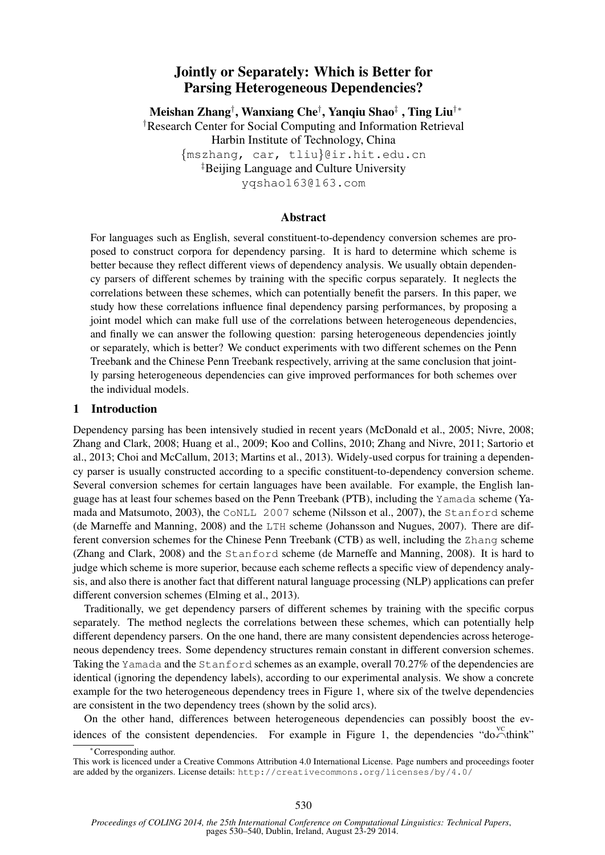# Jointly or Separately: Which is Better for Parsing Heterogeneous Dependencies?

Meishan Zhang†, Wanxiang Che†, Yanqiu Shao‡ , Ting Liu†\* †Research Center for Social Computing and Information Retrieval Harbin Institute of Technology, China {mszhang, car, tliu}@ir.hit.edu.cn ‡Beijing Language and Culture University yqshao163@163.com

## Abstract

For languages such as English, several constituent-to-dependency conversion schemes are proposed to construct corpora for dependency parsing. It is hard to determine which scheme is better because they reflect different views of dependency analysis. We usually obtain dependency parsers of different schemes by training with the specific corpus separately. It neglects the correlations between these schemes, which can potentially benefit the parsers. In this paper, we study how these correlations influence final dependency parsing performances, by proposing a joint model which can make full use of the correlations between heterogeneous dependencies, and finally we can answer the following question: parsing heterogeneous dependencies jointly or separately, which is better? We conduct experiments with two different schemes on the Penn Treebank and the Chinese Penn Treebank respectively, arriving at the same conclusion that jointly parsing heterogeneous dependencies can give improved performances for both schemes over the individual models.

#### 1 Introduction

Dependency parsing has been intensively studied in recent years (McDonald et al., 2005; Nivre, 2008; Zhang and Clark, 2008; Huang et al., 2009; Koo and Collins, 2010; Zhang and Nivre, 2011; Sartorio et al., 2013; Choi and McCallum, 2013; Martins et al., 2013). Widely-used corpus for training a dependency parser is usually constructed according to a specific constituent-to-dependency conversion scheme. Several conversion schemes for certain languages have been available. For example, the English language has at least four schemes based on the Penn Treebank (PTB), including the Yamada scheme (Yamada and Matsumoto, 2003), the CoNLL 2007 scheme (Nilsson et al., 2007), the Stanford scheme (de Marneffe and Manning, 2008) and the LTH scheme (Johansson and Nugues, 2007). There are different conversion schemes for the Chinese Penn Treebank (CTB) as well, including the Zhang scheme (Zhang and Clark, 2008) and the Stanford scheme (de Marneffe and Manning, 2008). It is hard to judge which scheme is more superior, because each scheme reflects a specific view of dependency analysis, and also there is another fact that different natural language processing (NLP) applications can prefer different conversion schemes (Elming et al., 2013).

Traditionally, we get dependency parsers of different schemes by training with the specific corpus separately. The method neglects the correlations between these schemes, which can potentially help different dependency parsers. On the one hand, there are many consistent dependencies across heterogeneous dependency trees. Some dependency structures remain constant in different conversion schemes. Taking the Yamada and the Stanford schemes as an example, overall 70.27% of the dependencies are identical (ignoring the dependency labels), according to our experimental analysis. We show a concrete example for the two heterogeneous dependency trees in Figure 1, where six of the twelve dependencies are consistent in the two dependency trees (shown by the solid arcs).

On the other hand, differences between heterogeneous dependencies can possibly boost the evidences of the consistent dependencies. For example in Figure 1, the dependencies "do $\sim$ think"

<sup>∗</sup>Corresponding author.

This work is licenced under a Creative Commons Attribution 4.0 International License. Page numbers and proceedings footer are added by the organizers. License details: http://creativecommons.org/licenses/by/4.0/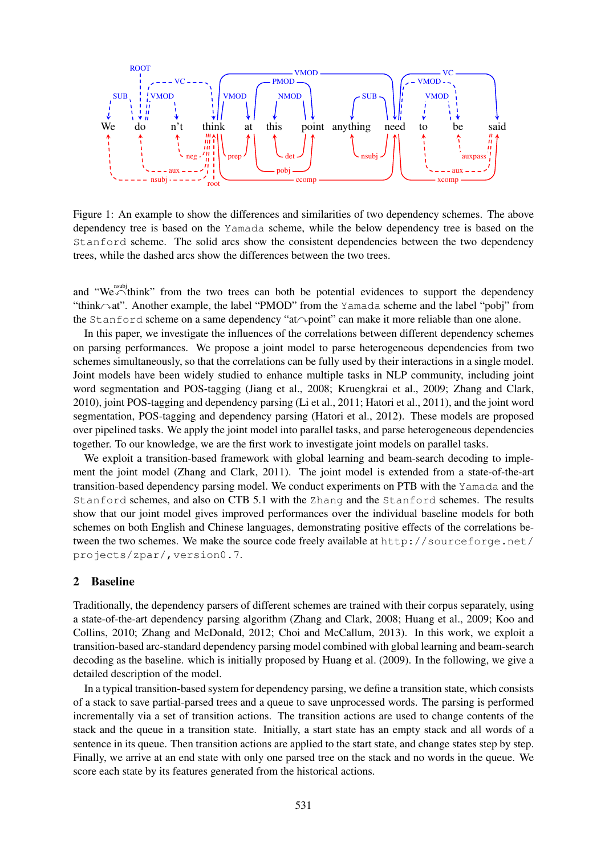

Figure 1: An example to show the differences and similarities of two dependency schemes. The above dependency tree is based on the Yamada scheme, while the below dependency tree is based on the Stanford scheme. The solid arcs show the consistent dependencies between the two dependency trees, while the dashed arcs show the differences between the two trees.

and "We $\bigtriangleup$ think" from the two trees can both be potential evidences to support the dependency "think $\sim$ at". Another example, the label "PMOD" from the Yamada scheme and the label "pobj" from the Stanford scheme on a same dependency "at $\sim$ point" can make it more reliable than one alone.

In this paper, we investigate the influences of the correlations between different dependency schemes on parsing performances. We propose a joint model to parse heterogeneous dependencies from two schemes simultaneously, so that the correlations can be fully used by their interactions in a single model. Joint models have been widely studied to enhance multiple tasks in NLP community, including joint word segmentation and POS-tagging (Jiang et al., 2008; Kruengkrai et al., 2009; Zhang and Clark, 2010), joint POS-tagging and dependency parsing (Li et al., 2011; Hatori et al., 2011), and the joint word segmentation, POS-tagging and dependency parsing (Hatori et al., 2012). These models are proposed over pipelined tasks. We apply the joint model into parallel tasks, and parse heterogeneous dependencies together. To our knowledge, we are the first work to investigate joint models on parallel tasks.

We exploit a transition-based framework with global learning and beam-search decoding to implement the joint model (Zhang and Clark, 2011). The joint model is extended from a state-of-the-art transition-based dependency parsing model. We conduct experiments on PTB with the Yamada and the Stanford schemes, and also on CTB 5.1 with the Zhang and the Stanford schemes. The results show that our joint model gives improved performances over the individual baseline models for both schemes on both English and Chinese languages, demonstrating positive effects of the correlations between the two schemes. We make the source code freely available at http://sourceforge.net/ projects/zpar/,version0.7.

#### 2 Baseline

Traditionally, the dependency parsers of different schemes are trained with their corpus separately, using a state-of-the-art dependency parsing algorithm (Zhang and Clark, 2008; Huang et al., 2009; Koo and Collins, 2010; Zhang and McDonald, 2012; Choi and McCallum, 2013). In this work, we exploit a transition-based arc-standard dependency parsing model combined with global learning and beam-search decoding as the baseline. which is initially proposed by Huang et al. (2009). In the following, we give a detailed description of the model.

In a typical transition-based system for dependency parsing, we define a transition state, which consists of a stack to save partial-parsed trees and a queue to save unprocessed words. The parsing is performed incrementally via a set of transition actions. The transition actions are used to change contents of the stack and the queue in a transition state. Initially, a start state has an empty stack and all words of a sentence in its queue. Then transition actions are applied to the start state, and change states step by step. Finally, we arrive at an end state with only one parsed tree on the stack and no words in the queue. We score each state by its features generated from the historical actions.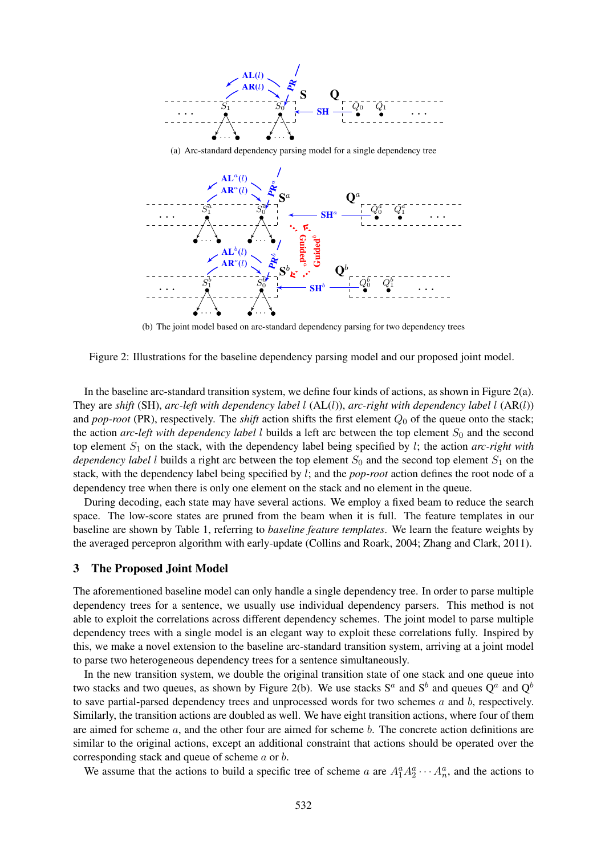

(a) Arc-standard dependency parsing model for a single dependency tree



(b) The joint model based on arc-standard dependency parsing for two dependency trees

Figure 2: Illustrations for the baseline dependency parsing model and our proposed joint model.

In the baseline arc-standard transition system, we define four kinds of actions, as shown in Figure 2(a). They are *shift* (SH), *arc-left with dependency label* l (AL(l)), *arc-right with dependency label* l (AR(l)) and *pop-root* (PR), respectively. The *shift* action shifts the first element  $Q_0$  of the queue onto the stack; the action  $arc$ -left with dependency label l builds a left arc between the top element  $S_0$  and the second top element  $S_1$  on the stack, with the dependency label being specified by  $l$ ; the action *arc-right with dependency label* l builds a right arc between the top element  $S_0$  and the second top element  $S_1$  on the stack, with the dependency label being specified by l; and the *pop-root* action defines the root node of a dependency tree when there is only one element on the stack and no element in the queue.

During decoding, each state may have several actions. We employ a fixed beam to reduce the search space. The low-score states are pruned from the beam when it is full. The feature templates in our baseline are shown by Table 1, referring to *baseline feature templates*. We learn the feature weights by the averaged percepron algorithm with early-update (Collins and Roark, 2004; Zhang and Clark, 2011).

#### 3 The Proposed Joint Model

The aforementioned baseline model can only handle a single dependency tree. In order to parse multiple dependency trees for a sentence, we usually use individual dependency parsers. This method is not able to exploit the correlations across different dependency schemes. The joint model to parse multiple dependency trees with a single model is an elegant way to exploit these correlations fully. Inspired by this, we make a novel extension to the baseline arc-standard transition system, arriving at a joint model to parse two heterogeneous dependency trees for a sentence simultaneously.

In the new transition system, we double the original transition state of one stack and one queue into two stacks and two queues, as shown by Figure 2(b). We use stacks  $S^a$  and  $S^b$  and queues  $Q^a$  and  $Q^b$ to save partial-parsed dependency trees and unprocessed words for two schemes  $a$  and  $b$ , respectively. Similarly, the transition actions are doubled as well. We have eight transition actions, where four of them are aimed for scheme  $a$ , and the other four are aimed for scheme  $b$ . The concrete action definitions are similar to the original actions, except an additional constraint that actions should be operated over the corresponding stack and queue of scheme a or b.

We assume that the actions to build a specific tree of scheme a are  $A_1^a A_2^a \cdots A_n^a$ , and the actions to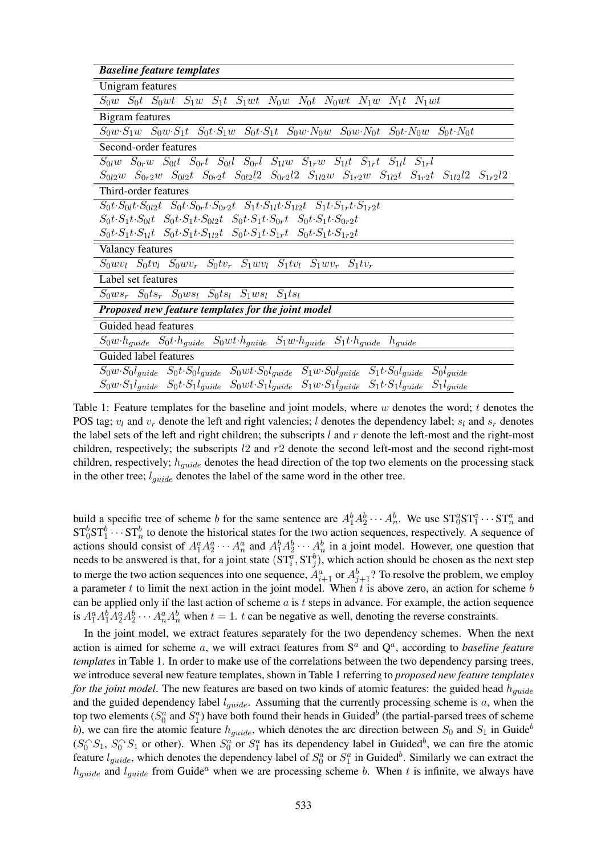| <b>Baseline feature templates</b>                                                                                                                           |
|-------------------------------------------------------------------------------------------------------------------------------------------------------------|
| Unigram features                                                                                                                                            |
| $S_0w$ $S_0t$ $S_0wt$ $S_1w$ $S_1t$ $S_1wt$ $N_0w$ $N_0t$ $N_0wt$ $N_1w$ $N_1t$ $N_1wt$                                                                     |
| Bigram features                                                                                                                                             |
| $S_0w \cdot S_1w$ $S_0w \cdot S_1t$ $S_0t \cdot S_1w$ $S_0t \cdot S_1t$ $S_0w \cdot N_0w$ $S_0w \cdot N_0t$ $S_0t \cdot N_0w$ $S_0t \cdot N_0t$             |
| Second-order features                                                                                                                                       |
| $S_{0l}w$ $S_{0r}w$ $S_{0l}t$ $S_{0r}t$ $S_{0l}l$ $S_{0r}l$ $S_{1l}w$ $S_{1r}w$ $S_{1l}t$ $S_{1r}t$ $S_{1l}l$ $S_{1r}l$                                     |
| $S_{0l2}w$ $S_{0r2}w$ $S_{0l2}t$ $S_{0r2}t$ $S_{0l2}l2$ $S_{0r2}l2$ $S_{1l2}w$ $S_{1r2}w$ $S_{1l2}t$ $S_{1r2}t$ $S_{1l2}l2$ $S_{1r2}l2$                     |
| Third-order features                                                                                                                                        |
| $S_0 t \cdot S_{0l} t \cdot S_{0l2} t$ $S_0 t \cdot S_{0r} t \cdot S_{0r2} t$ $S_1 t \cdot S_{1l} t \cdot S_{1l2} t$ $S_1 t \cdot S_{1r} t \cdot S_{1r2} t$ |
| $S_0t\cdot S_1t\cdot S_0t \quad S_0t\cdot S_1t\cdot S_{0l2}t \quad S_0t\cdot S_1t\cdot S_{0r}t \quad S_0t\cdot S_1t\cdot S_{0r2}t$                          |
| $S_0 t \cdot S_1 t \cdot S_{1l} t$ $S_0 t \cdot S_1 t \cdot S_{1l2} t$ $S_0 t \cdot S_1 t \cdot S_{1r} t$ $S_0 t \cdot S_1 t \cdot S_{1r2} t$               |
| Valancy features                                                                                                                                            |
| $S_0 w v_l$ $S_0 t v_l$ $S_0 w v_r$ $S_0 t v_r$ $S_1 w v_l$ $S_1 t v_l$ $S_1 w v_r$ $S_1 t v_r$                                                             |
| Label set features                                                                                                                                          |
| $S_0 w s_r$ $S_0 t s_r$ $S_0 w s_l$ $S_0 t s_l$ $S_1 w s_l$ $S_1 t s_l$                                                                                     |
| Proposed new feature templates for the joint model                                                                                                          |
| Guided head features                                                                                                                                        |
| $S_0w \cdot h_{guide}$ $S_0t \cdot h_{guide}$ $S_0wt \cdot h_{guide}$ $S_1w \cdot h_{guide}$ $S_1t \cdot h_{guide}$ $h_{guide}$                             |
| Guided label features                                                                                                                                       |
| $S_0w \cdot S_0l_{guide}$ $S_0t \cdot S_0l_{guide}$ $S_0wt \cdot S_0l_{guide}$ $S_1w \cdot S_0l_{guide}$ $S_1t \cdot S_0l_{guide}$ $S_0l_{guide}$           |
| $S_0w \cdot S_1l_{guide}$ $S_0t \cdot S_1l_{guide}$ $S_0wt \cdot S_1l_{guide}$ $S_1w \cdot S_1l_{guide}$ $S_1t \cdot S_1l_{guide}$ $S_1l_{guide}$           |

Table 1: Feature templates for the baseline and joint models, where w denotes the word; t denotes the POS tag;  $v_l$  and  $v_r$  denote the left and right valencies; l denotes the dependency label;  $s_l$  and  $s_r$  denotes the label sets of the left and right children; the subscripts  $l$  and  $r$  denote the left-most and the right-most children, respectively; the subscripts l2 and r2 denote the second left-most and the second right-most children, respectively;  $h_{guide}$  denotes the head direction of the top two elements on the processing stack in the other tree;  $l_{guide}$  denotes the label of the same word in the other tree.

build a specific tree of scheme b for the same sentence are  $A_1^b A_2^b \cdots A_n^b$ . We use  $ST_0^a ST_1^a \cdots ST_n^a$  and  $ST_0^b ST_1^b \cdots ST_n^b$  to denote the historical states for the two action sequences, respectively. A sequence of actions should consist of  $A_1^a A_2^a \cdots A_n^a$  and  $A_1^b A_2^b \cdots A_n^b$  in a joint model. However, one question that needs to be answered is that, for a joint state  $(ST_i^a, ST_j^b)$ , which action should be chosen as the next step to merge the two action sequences into one sequence,  $A_{i+1}^a$  or  $A_{j+1}^b$ ? To resolve the problem, we employ a parameter  $t$  to limit the next action in the joint model. When  $t$  is above zero, an action for scheme  $b$ can be applied only if the last action of scheme  $a$  is  $t$  steps in advance. For example, the action sequence is  $A_1^a A_1^b A_2^a A_2^b \cdots A_n^a A_n^b$  when  $t = 1$ . t can be negative as well, denoting the reverse constraints.

In the joint model, we extract features separately for the two dependency schemes. When the next action is aimed for scheme  $a$ , we will extract features from  $S<sup>a</sup>$  and  $Q<sup>a</sup>$ , according to *baseline feature templates* in Table 1. In order to make use of the correlations between the two dependency parsing trees, we introduce several new feature templates, shown in Table 1 referring to *proposed new feature templates for the joint model*. The new features are based on two kinds of atomic features: the guided head  $h_{quide}$ and the guided dependency label  $l_{guide}$ . Assuming that the currently processing scheme is  $a$ , when the top two elements ( $S_0^a$  and  $S_1^a$ ) have both found their heads in Guided<sup>b</sup> (the partial-parsed trees of scheme b), we can fire the atomic feature  $h_{quide}$ , which denotes the arc direction between  $S_0$  and  $S_1$  in Guide<sup>b</sup>  $(S_0^S S_1, S_0^S S_1$  or other). When  $S_0^a$  or  $S_1^a$  has its dependency label in Guided<sup>b</sup>, we can fire the atomic feature  $l_{guide}$ , which denotes the dependency label of  $S_0^a$  or  $S_1^a$  in Guided<sup>b</sup>. Similarly we can extract the  $h_{guide}$  and  $l_{guide}$  from Guide<sup>a</sup> when we are processing scheme b. When t is infinite, we always have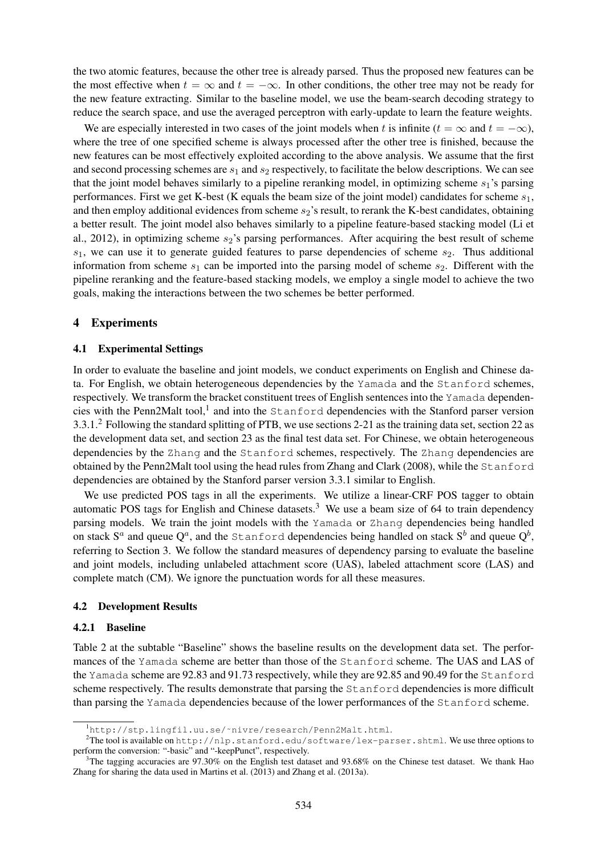the two atomic features, because the other tree is already parsed. Thus the proposed new features can be the most effective when  $t = \infty$  and  $t = -\infty$ . In other conditions, the other tree may not be ready for the new feature extracting. Similar to the baseline model, we use the beam-search decoding strategy to reduce the search space, and use the averaged perceptron with early-update to learn the feature weights.

We are especially interested in two cases of the joint models when t is infinite ( $t = \infty$  and  $t = -\infty$ ), where the tree of one specified scheme is always processed after the other tree is finished, because the new features can be most effectively exploited according to the above analysis. We assume that the first and second processing schemes are  $s_1$  and  $s_2$  respectively, to facilitate the below descriptions. We can see that the joint model behaves similarly to a pipeline reranking model, in optimizing scheme  $s_1$ 's parsing performances. First we get K-best (K equals the beam size of the joint model) candidates for scheme  $s_1$ , and then employ additional evidences from scheme  $s_2$ 's result, to rerank the K-best candidates, obtaining a better result. The joint model also behaves similarly to a pipeline feature-based stacking model (Li et al., 2012), in optimizing scheme  $s_2$ 's parsing performances. After acquiring the best result of scheme  $s_1$ , we can use it to generate guided features to parse dependencies of scheme  $s_2$ . Thus additional information from scheme  $s_1$  can be imported into the parsing model of scheme  $s_2$ . Different with the pipeline reranking and the feature-based stacking models, we employ a single model to achieve the two goals, making the interactions between the two schemes be better performed.

#### 4 Experiments

#### 4.1 Experimental Settings

In order to evaluate the baseline and joint models, we conduct experiments on English and Chinese data. For English, we obtain heterogeneous dependencies by the Yamada and the Stanford schemes, respectively. We transform the bracket constituent trees of English sentences into the Yamada dependencies with the Penn2Malt tool,<sup>1</sup> and into the Stanford dependencies with the Stanford parser version 3.3.1.<sup>2</sup> Following the standard splitting of PTB, we use sections 2-21 as the training data set, section 22 as the development data set, and section 23 as the final test data set. For Chinese, we obtain heterogeneous dependencies by the Zhang and the Stanford schemes, respectively. The Zhang dependencies are obtained by the Penn2Malt tool using the head rules from Zhang and Clark (2008), while the Stanford dependencies are obtained by the Stanford parser version 3.3.1 similar to English.

We use predicted POS tags in all the experiments. We utilize a linear-CRF POS tagger to obtain automatic POS tags for English and Chinese datasets.<sup>3</sup> We use a beam size of 64 to train dependency parsing models. We train the joint models with the Yamada or Zhang dependencies being handled on stack  $\mathrm{S}^a$  and queue  $\mathrm{Q}^a$ , and the <code>Stanford</code> dependencies being handled on stack  $\mathrm{S}^b$  and queue  $\mathrm{Q}^b$ , referring to Section 3. We follow the standard measures of dependency parsing to evaluate the baseline and joint models, including unlabeled attachment score (UAS), labeled attachment score (LAS) and complete match (CM). We ignore the punctuation words for all these measures.

#### 4.2 Development Results

#### 4.2.1 Baseline

Table 2 at the subtable "Baseline" shows the baseline results on the development data set. The performances of the Yamada scheme are better than those of the Stanford scheme. The UAS and LAS of the Yamada scheme are 92.83 and 91.73 respectively, while they are 92.85 and 90.49 for the Stanford scheme respectively. The results demonstrate that parsing the Stanford dependencies is more difficult than parsing the Yamada dependencies because of the lower performances of the Stanford scheme.

<sup>1</sup>http://stp.lingfil.uu.se/˜nivre/research/Penn2Malt.html.

<sup>&</sup>lt;sup>2</sup>The tool is available on http://nlp.stanford.edu/software/lex-parser.shtml. We use three options to perform the conversion: "-basic" and "-keepPunct", respectively.

<sup>&</sup>lt;sup>3</sup>The tagging accuracies are 97.30% on the English test dataset and 93.68% on the Chinese test dataset. We thank Hao Zhang for sharing the data used in Martins et al. (2013) and Zhang et al. (2013a).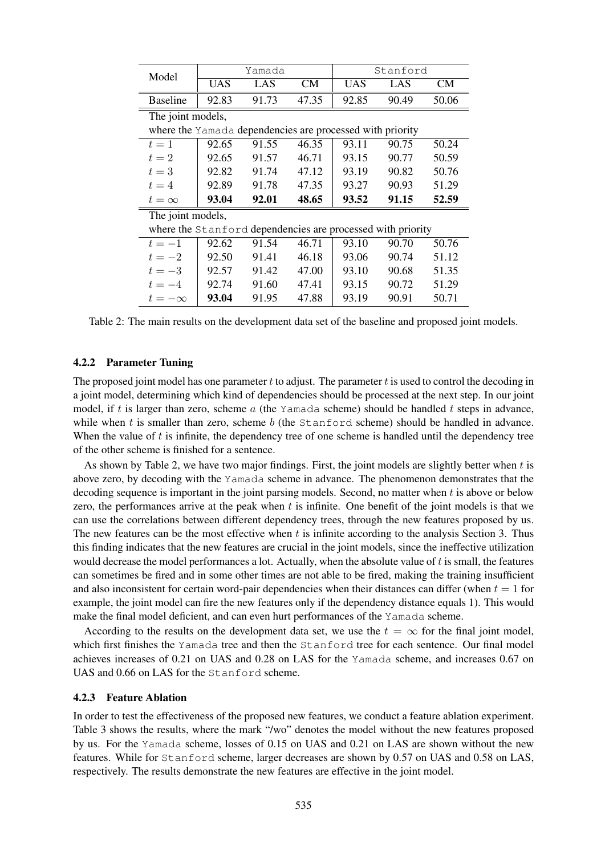| Model                                                       |            | Yamada |       |            | Stanford |           |  |  |  |  |
|-------------------------------------------------------------|------------|--------|-------|------------|----------|-----------|--|--|--|--|
|                                                             | <b>UAS</b> | LAS    | CМ    | <b>UAS</b> | LAS      | <b>CM</b> |  |  |  |  |
| <b>Baseline</b>                                             | 92.83      | 91.73  | 47.35 | 92.85      | 90.49    | 50.06     |  |  |  |  |
| The joint models,                                           |            |        |       |            |          |           |  |  |  |  |
| where the Yamada dependencies are processed with priority   |            |        |       |            |          |           |  |  |  |  |
| $t=1$                                                       | 92.65      | 91.55  | 46.35 | 93.11      | 90.75    | 50.24     |  |  |  |  |
| $t=2$                                                       | 92.65      | 91.57  | 46.71 | 93.15      | 90.77    | 50.59     |  |  |  |  |
| $t=3$                                                       | 92.82      | 91.74  | 47.12 | 93.19      | 90.82    | 50.76     |  |  |  |  |
| $t=4$                                                       | 92.89      | 91.78  | 47.35 | 93.27      | 90.93    | 51.29     |  |  |  |  |
| $t=\infty$                                                  | 93.04      | 92.01  | 48.65 | 93.52      | 91.15    | 52.59     |  |  |  |  |
| The joint models,                                           |            |        |       |            |          |           |  |  |  |  |
| where the Stanford dependencies are processed with priority |            |        |       |            |          |           |  |  |  |  |
| $t=-1$                                                      | 92.62      | 91.54  | 46.71 | 93.10      | 90.70    | 50.76     |  |  |  |  |
| $t=-2$                                                      | 92.50      | 91.41  | 46.18 | 93.06      | 90.74    | 51.12     |  |  |  |  |
| $t=-3$                                                      | 92.57      | 91.42  | 47.00 | 93.10      | 90.68    | 51.35     |  |  |  |  |
| $t=-4$                                                      | 92.74      | 91.60  | 47.41 | 93.15      | 90.72    | 51.29     |  |  |  |  |
| $t=-\infty$                                                 | 93.04      | 91.95  | 47.88 | 93.19      | 90.91    | 50.71     |  |  |  |  |

Table 2: The main results on the development data set of the baseline and proposed joint models.

#### 4.2.2 Parameter Tuning

The proposed joint model has one parameter  $t$  to adjust. The parameter  $t$  is used to control the decoding in a joint model, determining which kind of dependencies should be processed at the next step. In our joint model, if t is larger than zero, scheme  $a$  (the Yamada scheme) should be handled t steps in advance, while when t is smaller than zero, scheme b (the  $Stanford$  scheme) should be handled in advance. When the value of  $t$  is infinite, the dependency tree of one scheme is handled until the dependency tree of the other scheme is finished for a sentence.

As shown by Table 2, we have two major findings. First, the joint models are slightly better when t is above zero, by decoding with the Yamada scheme in advance. The phenomenon demonstrates that the decoding sequence is important in the joint parsing models. Second, no matter when t is above or below zero, the performances arrive at the peak when  $t$  is infinite. One benefit of the joint models is that we can use the correlations between different dependency trees, through the new features proposed by us. The new features can be the most effective when  $t$  is infinite according to the analysis Section 3. Thus this finding indicates that the new features are crucial in the joint models, since the ineffective utilization would decrease the model performances a lot. Actually, when the absolute value of t is small, the features can sometimes be fired and in some other times are not able to be fired, making the training insufficient and also inconsistent for certain word-pair dependencies when their distances can differ (when  $t = 1$  for example, the joint model can fire the new features only if the dependency distance equals 1). This would make the final model deficient, and can even hurt performances of the Yamada scheme.

According to the results on the development data set, we use the  $t = \infty$  for the final joint model, which first finishes the Yamada tree and then the Stanford tree for each sentence. Our final model achieves increases of 0.21 on UAS and 0.28 on LAS for the Yamada scheme, and increases 0.67 on UAS and 0.66 on LAS for the Stanford scheme.

## 4.2.3 Feature Ablation

In order to test the effectiveness of the proposed new features, we conduct a feature ablation experiment. Table 3 shows the results, where the mark "/wo" denotes the model without the new features proposed by us. For the Yamada scheme, losses of 0.15 on UAS and 0.21 on LAS are shown without the new features. While for Stanford scheme, larger decreases are shown by 0.57 on UAS and 0.58 on LAS, respectively. The results demonstrate the new features are effective in the joint model.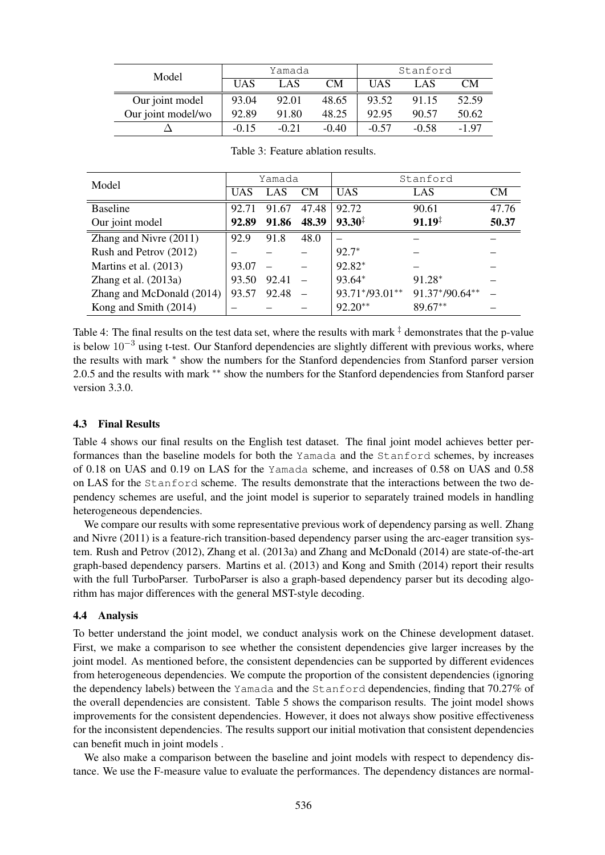| Model              |            | Yamada  |           | Stanford   |         |         |
|--------------------|------------|---------|-----------|------------|---------|---------|
|                    | <b>UAS</b> | LAS     | <b>CM</b> | <b>UAS</b> | LAS     | CМ      |
| Our joint model    | 93.04      | 92.01   | 48.65     | 93.52      | 91.15   | 52.59   |
| Our joint model/wo | 92.89      | 91.80   | 48.25     | 92.95      | 90.57   | 50.62   |
|                    | $-0.15$    | $-0.21$ | $-0.40$   | $-0.57$    | $-0.58$ | $-1.97$ |

| Model                     | Yamada |       |           | Stanford           |                    |           |  |
|---------------------------|--------|-------|-----------|--------------------|--------------------|-----------|--|
|                           | UAS    | LAS   | <b>CM</b> | <b>UAS</b>         | LAS                | <b>CM</b> |  |
| <b>Baseline</b>           | 92.71  | 91.67 | 47.48     | 92.72              | 90.61              | 47.76     |  |
| Our joint model           | 92.89  | 91.86 | 48.39     | $93.30^{\ddagger}$ | $91.19^{\ddagger}$ | 50.37     |  |
| Zhang and Nivre (2011)    | 92.9   | 91.8  | 48.0      |                    |                    |           |  |
| Rush and Petrov (2012)    |        |       |           | $92.7*$            |                    |           |  |
| Martins et al. (2013)     | 93.07  |       |           | $92.82*$           |                    |           |  |
| Zhang et al. $(2013a)$    | 93.50  | 92.41 |           | 93.64*             | 91.28*             |           |  |
| Zhang and McDonald (2014) | 93.57  | 92.48 |           | 93.71*/93.01**     | 91.37*/90.64**     |           |  |
| Kong and Smith (2014)     |        |       |           | $92.20**$          | $89.67**$          |           |  |

Table 3: Feature ablation results.

Table 4: The final results on the test data set, where the results with mark  $\ddagger$  demonstrates that the p-value is below 10−<sup>3</sup> using t-test. Our Stanford dependencies are slightly different with previous works, where the results with mark ∗ show the numbers for the Stanford dependencies from Stanford parser version 2.0.5 and the results with mark <sup>\*\*</sup> show the numbers for the Stanford dependencies from Stanford parser version 3.3.0.

## 4.3 Final Results

Table 4 shows our final results on the English test dataset. The final joint model achieves better performances than the baseline models for both the Yamada and the Stanford schemes, by increases of 0.18 on UAS and 0.19 on LAS for the Yamada scheme, and increases of 0.58 on UAS and 0.58 on LAS for the Stanford scheme. The results demonstrate that the interactions between the two dependency schemes are useful, and the joint model is superior to separately trained models in handling heterogeneous dependencies.

We compare our results with some representative previous work of dependency parsing as well. Zhang and Nivre (2011) is a feature-rich transition-based dependency parser using the arc-eager transition system. Rush and Petrov (2012), Zhang et al. (2013a) and Zhang and McDonald (2014) are state-of-the-art graph-based dependency parsers. Martins et al. (2013) and Kong and Smith (2014) report their results with the full TurboParser. TurboParser is also a graph-based dependency parser but its decoding algorithm has major differences with the general MST-style decoding.

## 4.4 Analysis

To better understand the joint model, we conduct analysis work on the Chinese development dataset. First, we make a comparison to see whether the consistent dependencies give larger increases by the joint model. As mentioned before, the consistent dependencies can be supported by different evidences from heterogeneous dependencies. We compute the proportion of the consistent dependencies (ignoring the dependency labels) between the Yamada and the Stanford dependencies, finding that 70.27% of the overall dependencies are consistent. Table 5 shows the comparison results. The joint model shows improvements for the consistent dependencies. However, it does not always show positive effectiveness for the inconsistent dependencies. The results support our initial motivation that consistent dependencies can benefit much in joint models .

We also make a comparison between the baseline and joint models with respect to dependency distance. We use the F-measure value to evaluate the performances. The dependency distances are normal-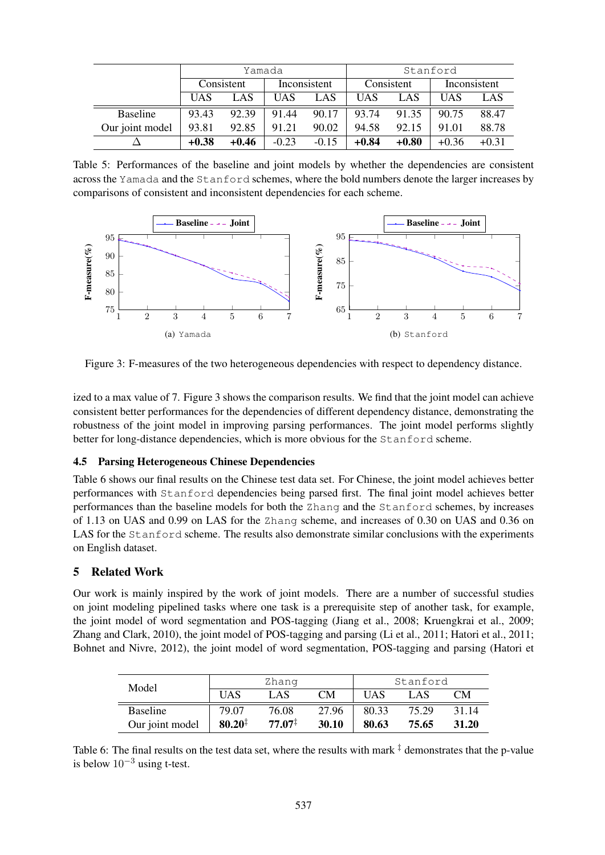|                 |            | Yamada  |              |         | Stanford   |         |              |         |
|-----------------|------------|---------|--------------|---------|------------|---------|--------------|---------|
|                 | Consistent |         | Inconsistent |         | Consistent |         | Inconsistent |         |
|                 | <b>UAS</b> | LAS     | UAS          | LAS     | UAS        | LAS     | UAS          | LAS     |
| <b>Baseline</b> | 93.43      | 92.39   | 91.44        | 90.17   | 93.74      | 91.35   | 90.75        | 88.47   |
| Our joint model | 93.81      | 92.85   | 91.21        | 90.02   | 94.58      | 92.15   | 91.01        | 88.78   |
|                 | $+0.38$    | $+0.46$ | $-0.23$      | $-0.15$ | $+0.84$    | $+0.80$ | $+0.36$      | $+0.31$ |

Table 5: Performances of the baseline and joint models by whether the dependencies are consistent across the Yamada and the Stanford schemes, where the bold numbers denote the larger increases by comparisons of consistent and inconsistent dependencies for each scheme.



Figure 3: F-measures of the two heterogeneous dependencies with respect to dependency distance.

ized to a max value of 7. Figure 3 shows the comparison results. We find that the joint model can achieve consistent better performances for the dependencies of different dependency distance, demonstrating the robustness of the joint model in improving parsing performances. The joint model performs slightly better for long-distance dependencies, which is more obvious for the Stanford scheme.

## 4.5 Parsing Heterogeneous Chinese Dependencies

Table 6 shows our final results on the Chinese test data set. For Chinese, the joint model achieves better performances with Stanford dependencies being parsed first. The final joint model achieves better performances than the baseline models for both the Zhang and the Stanford schemes, by increases of 1.13 on UAS and 0.99 on LAS for the Zhang scheme, and increases of 0.30 on UAS and 0.36 on LAS for the Stanford scheme. The results also demonstrate similar conclusions with the experiments on English dataset.

## 5 Related Work

Our work is mainly inspired by the work of joint models. There are a number of successful studies on joint modeling pipelined tasks where one task is a prerequisite step of another task, for example, the joint model of word segmentation and POS-tagging (Jiang et al., 2008; Kruengkrai et al., 2009; Zhang and Clark, 2010), the joint model of POS-tagging and parsing (Li et al., 2011; Hatori et al., 2011; Bohnet and Nivre, 2012), the joint model of word segmentation, POS-tagging and parsing (Hatori et

| Model           |             | Zhang              |       |       | Stanford |       |
|-----------------|-------------|--------------------|-------|-------|----------|-------|
|                 | <b>UAS</b>  | LAS                | CМ    | UAS   | LAS      | CМ    |
| <b>Baseline</b> | 79.07       | 76.08              | 27.96 | 80.33 | 75.29    | 31.14 |
| Our joint model | $80.20^{1}$ | $77.07^{\ddagger}$ | 30.10 | 80.63 | 75.65    | 31.20 |

Table 6: The final results on the test data set, where the results with mark  $\ddagger$  demonstrates that the p-value is below  $10^{-3}$  using t-test.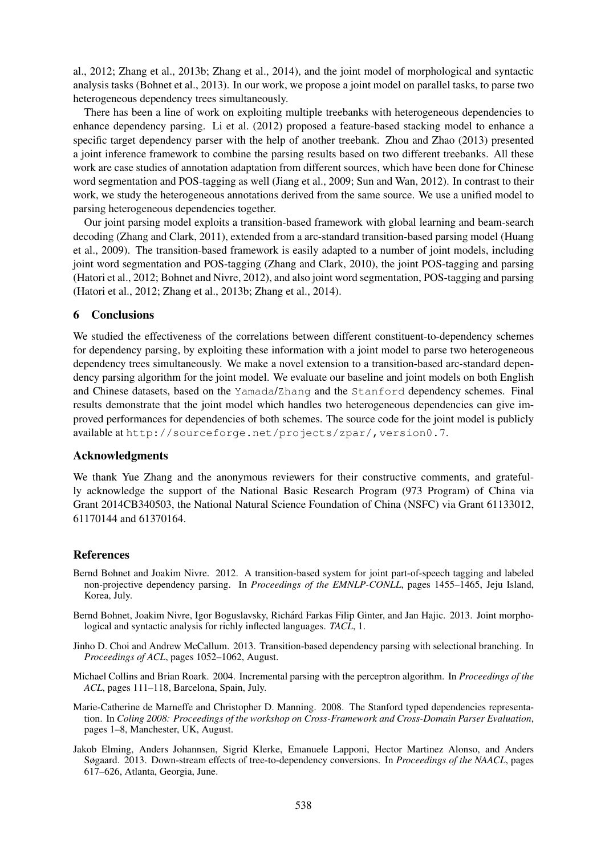al., 2012; Zhang et al., 2013b; Zhang et al., 2014), and the joint model of morphological and syntactic analysis tasks (Bohnet et al., 2013). In our work, we propose a joint model on parallel tasks, to parse two heterogeneous dependency trees simultaneously.

There has been a line of work on exploiting multiple treebanks with heterogeneous dependencies to enhance dependency parsing. Li et al. (2012) proposed a feature-based stacking model to enhance a specific target dependency parser with the help of another treebank. Zhou and Zhao (2013) presented a joint inference framework to combine the parsing results based on two different treebanks. All these work are case studies of annotation adaptation from different sources, which have been done for Chinese word segmentation and POS-tagging as well (Jiang et al., 2009; Sun and Wan, 2012). In contrast to their work, we study the heterogeneous annotations derived from the same source. We use a unified model to parsing heterogeneous dependencies together.

Our joint parsing model exploits a transition-based framework with global learning and beam-search decoding (Zhang and Clark, 2011), extended from a arc-standard transition-based parsing model (Huang et al., 2009). The transition-based framework is easily adapted to a number of joint models, including joint word segmentation and POS-tagging (Zhang and Clark, 2010), the joint POS-tagging and parsing (Hatori et al., 2012; Bohnet and Nivre, 2012), and also joint word segmentation, POS-tagging and parsing (Hatori et al., 2012; Zhang et al., 2013b; Zhang et al., 2014).

## 6 Conclusions

We studied the effectiveness of the correlations between different constituent-to-dependency schemes for dependency parsing, by exploiting these information with a joint model to parse two heterogeneous dependency trees simultaneously. We make a novel extension to a transition-based arc-standard dependency parsing algorithm for the joint model. We evaluate our baseline and joint models on both English and Chinese datasets, based on the Yamada/Zhang and the Stanford dependency schemes. Final results demonstrate that the joint model which handles two heterogeneous dependencies can give improved performances for dependencies of both schemes. The source code for the joint model is publicly available at http://sourceforge.net/projects/zpar/,version0.7.

#### Acknowledgments

We thank Yue Zhang and the anonymous reviewers for their constructive comments, and gratefully acknowledge the support of the National Basic Research Program (973 Program) of China via Grant 2014CB340503, the National Natural Science Foundation of China (NSFC) via Grant 61133012, 61170144 and 61370164.

#### References

- Bernd Bohnet and Joakim Nivre. 2012. A transition-based system for joint part-of-speech tagging and labeled non-projective dependency parsing. In *Proceedings of the EMNLP-CONLL*, pages 1455–1465, Jeju Island, Korea, July.
- Bernd Bohnet, Joakim Nivre, Igor Boguslavsky, Richard Farkas Filip Ginter, and Jan Hajic. 2013. Joint morpho- ´ logical and syntactic analysis for richly inflected languages. *TACL*, 1.
- Jinho D. Choi and Andrew McCallum. 2013. Transition-based dependency parsing with selectional branching. In *Proceedings of ACL*, pages 1052–1062, August.
- Michael Collins and Brian Roark. 2004. Incremental parsing with the perceptron algorithm. In *Proceedings of the ACL*, pages 111–118, Barcelona, Spain, July.
- Marie-Catherine de Marneffe and Christopher D. Manning. 2008. The Stanford typed dependencies representation. In *Coling 2008: Proceedings of the workshop on Cross-Framework and Cross-Domain Parser Evaluation*, pages 1–8, Manchester, UK, August.
- Jakob Elming, Anders Johannsen, Sigrid Klerke, Emanuele Lapponi, Hector Martinez Alonso, and Anders Søgaard. 2013. Down-stream effects of tree-to-dependency conversions. In *Proceedings of the NAACL*, pages 617–626, Atlanta, Georgia, June.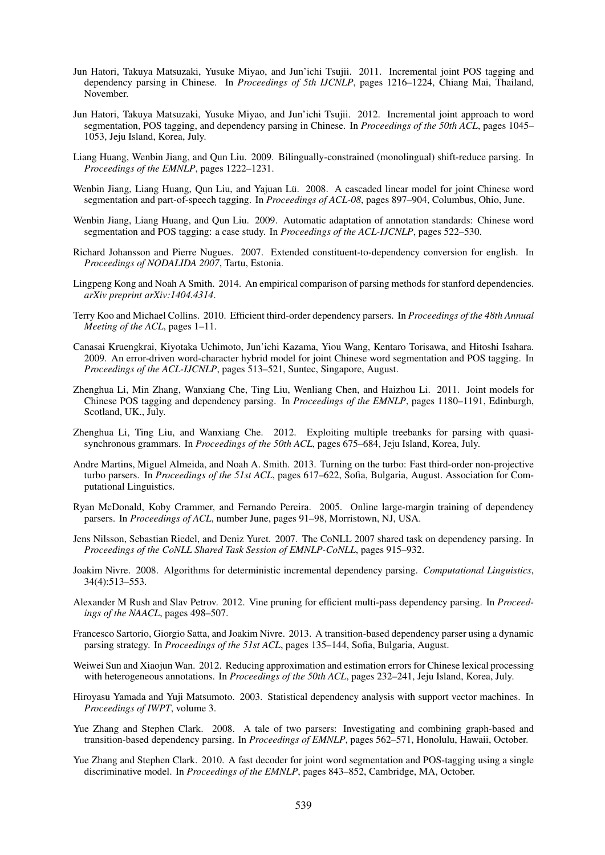- Jun Hatori, Takuya Matsuzaki, Yusuke Miyao, and Jun'ichi Tsujii. 2011. Incremental joint POS tagging and dependency parsing in Chinese. In *Proceedings of 5th IJCNLP*, pages 1216–1224, Chiang Mai, Thailand, November.
- Jun Hatori, Takuya Matsuzaki, Yusuke Miyao, and Jun'ichi Tsujii. 2012. Incremental joint approach to word segmentation, POS tagging, and dependency parsing in Chinese. In *Proceedings of the 50th ACL*, pages 1045– 1053, Jeju Island, Korea, July.
- Liang Huang, Wenbin Jiang, and Qun Liu. 2009. Bilingually-constrained (monolingual) shift-reduce parsing. In *Proceedings of the EMNLP*, pages 1222–1231.
- Wenbin Jiang, Liang Huang, Qun Liu, and Yajuan Lü. 2008. A cascaded linear model for joint Chinese word segmentation and part-of-speech tagging. In *Proceedings of ACL-08*, pages 897–904, Columbus, Ohio, June.
- Wenbin Jiang, Liang Huang, and Qun Liu. 2009. Automatic adaptation of annotation standards: Chinese word segmentation and POS tagging: a case study. In *Proceedings of the ACL-IJCNLP*, pages 522–530.
- Richard Johansson and Pierre Nugues. 2007. Extended constituent-to-dependency conversion for english. In *Proceedings of NODALIDA 2007*, Tartu, Estonia.
- Lingpeng Kong and Noah A Smith. 2014. An empirical comparison of parsing methods for stanford dependencies. *arXiv preprint arXiv:1404.4314*.
- Terry Koo and Michael Collins. 2010. Efficient third-order dependency parsers. In *Proceedings of the 48th Annual Meeting of the ACL*, pages 1–11.
- Canasai Kruengkrai, Kiyotaka Uchimoto, Jun'ichi Kazama, Yiou Wang, Kentaro Torisawa, and Hitoshi Isahara. 2009. An error-driven word-character hybrid model for joint Chinese word segmentation and POS tagging. In *Proceedings of the ACL-IJCNLP*, pages 513–521, Suntec, Singapore, August.
- Zhenghua Li, Min Zhang, Wanxiang Che, Ting Liu, Wenliang Chen, and Haizhou Li. 2011. Joint models for Chinese POS tagging and dependency parsing. In *Proceedings of the EMNLP*, pages 1180–1191, Edinburgh, Scotland, UK., July.
- Zhenghua Li, Ting Liu, and Wanxiang Che. 2012. Exploiting multiple treebanks for parsing with quasisynchronous grammars. In *Proceedings of the 50th ACL*, pages 675–684, Jeju Island, Korea, July.
- Andre Martins, Miguel Almeida, and Noah A. Smith. 2013. Turning on the turbo: Fast third-order non-projective turbo parsers. In *Proceedings of the 51st ACL*, pages 617–622, Sofia, Bulgaria, August. Association for Computational Linguistics.
- Ryan McDonald, Koby Crammer, and Fernando Pereira. 2005. Online large-margin training of dependency parsers. In *Proceedings of ACL*, number June, pages 91–98, Morristown, NJ, USA.
- Jens Nilsson, Sebastian Riedel, and Deniz Yuret. 2007. The CoNLL 2007 shared task on dependency parsing. In *Proceedings of the CoNLL Shared Task Session of EMNLP-CoNLL*, pages 915–932.
- Joakim Nivre. 2008. Algorithms for deterministic incremental dependency parsing. *Computational Linguistics*, 34(4):513–553.
- Alexander M Rush and Slav Petrov. 2012. Vine pruning for efficient multi-pass dependency parsing. In *Proceedings of the NAACL*, pages 498–507.
- Francesco Sartorio, Giorgio Satta, and Joakim Nivre. 2013. A transition-based dependency parser using a dynamic parsing strategy. In *Proceedings of the 51st ACL*, pages 135–144, Sofia, Bulgaria, August.
- Weiwei Sun and Xiaojun Wan. 2012. Reducing approximation and estimation errors for Chinese lexical processing with heterogeneous annotations. In *Proceedings of the 50th ACL*, pages 232–241, Jeju Island, Korea, July.
- Hiroyasu Yamada and Yuji Matsumoto. 2003. Statistical dependency analysis with support vector machines. In *Proceedings of IWPT*, volume 3.
- Yue Zhang and Stephen Clark. 2008. A tale of two parsers: Investigating and combining graph-based and transition-based dependency parsing. In *Proceedings of EMNLP*, pages 562–571, Honolulu, Hawaii, October.
- Yue Zhang and Stephen Clark. 2010. A fast decoder for joint word segmentation and POS-tagging using a single discriminative model. In *Proceedings of the EMNLP*, pages 843–852, Cambridge, MA, October.